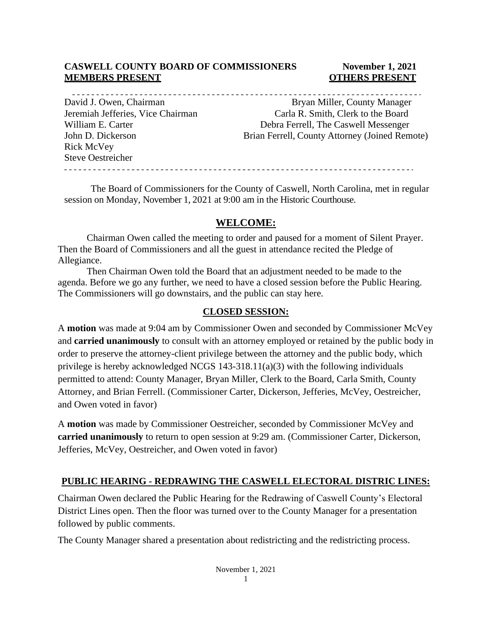#### **CASWELL COUNTY BOARD OF COMMISSIONERS November 1, 2021 MEMBERS PRESENT COLLEGE ASSESSED ASSESSED ASSESSED AT A LOCAL COLLEGE AND A LOCAL COLLEGE AT A LOCAL COLLEGE A**

David J. Owen, Chairman Bryan Miller, County Manager Rick McVey Steve Oestreicher

Jeremiah Jefferies, Vice Chairman Carla R. Smith, Clerk to the Board William E. Carter Carter Debra Ferrell, The Caswell Messenger John D. Dickerson Brian Ferrell, County Attorney (Joined Remote)

The Board of Commissioners for the County of Caswell, North Carolina, met in regular session on Monday, November 1, 2021 at 9:00 am in the Historic Courthouse.

#### **WELCOME:**

Chairman Owen called the meeting to order and paused for a moment of Silent Prayer. Then the Board of Commissioners and all the guest in attendance recited the Pledge of Allegiance.

Then Chairman Owen told the Board that an adjustment needed to be made to the agenda. Before we go any further, we need to have a closed session before the Public Hearing. The Commissioners will go downstairs, and the public can stay here.

#### **CLOSED SESSION:**

A **motion** was made at 9:04 am by Commissioner Owen and seconded by Commissioner McVey and **carried unanimously** to consult with an attorney employed or retained by the public body in order to preserve the attorney-client privilege between the attorney and the public body, which privilege is hereby acknowledged NCGS 143-318.11(a)(3) with the following individuals permitted to attend: County Manager, Bryan Miller, Clerk to the Board, Carla Smith, County Attorney, and Brian Ferrell. (Commissioner Carter, Dickerson, Jefferies, McVey, Oestreicher, and Owen voted in favor)

A **motion** was made by Commissioner Oestreicher, seconded by Commissioner McVey and **carried unanimously** to return to open session at 9:29 am. (Commissioner Carter, Dickerson, Jefferies, McVey, Oestreicher, and Owen voted in favor)

#### **PUBLIC HEARING - REDRAWING THE CASWELL ELECTORAL DISTRIC LINES:**

Chairman Owen declared the Public Hearing for the Redrawing of Caswell County's Electoral District Lines open. Then the floor was turned over to the County Manager for a presentation followed by public comments.

The County Manager shared a presentation about redistricting and the redistricting process.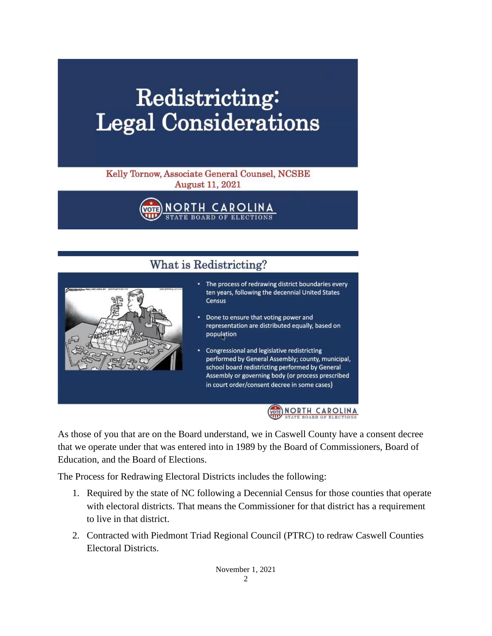# Redistricting: **Legal Considerations**

#### Kelly Tornow, Associate General Counsel, NCSBE **August 11, 2021**

NORTH CARO TE BOARD OF

## What is Redistricting?



- The process of redrawing district boundaries every ten years, following the decennial United States Census
- Done to ensure that voting power and representation are distributed equally, based on population
- Congressional and legislative redistricting performed by General Assembly; county, municipal, school board redistricting performed by General Assembly or governing body (or process prescribed in court order/consent decree in some cases)



As those of you that are on the Board understand, we in Caswell County have a consent decree that we operate under that was entered into in 1989 by the Board of Commissioners, Board of Education, and the Board of Elections.

The Process for Redrawing Electoral Districts includes the following:

- 1. Required by the state of NC following a Decennial Census for those counties that operate with electoral districts. That means the Commissioner for that district has a requirement to live in that district.
- 2. Contracted with Piedmont Triad Regional Council (PTRC) to redraw Caswell Counties Electoral Districts.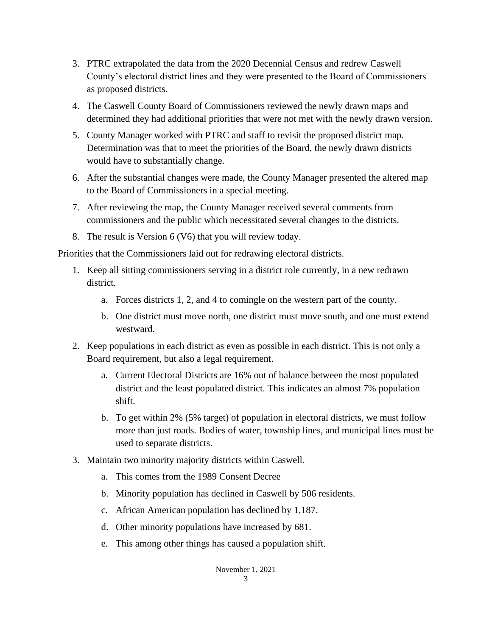- 3. PTRC extrapolated the data from the 2020 Decennial Census and redrew Caswell County's electoral district lines and they were presented to the Board of Commissioners as proposed districts.
- 4. The Caswell County Board of Commissioners reviewed the newly drawn maps and determined they had additional priorities that were not met with the newly drawn version.
- 5. County Manager worked with PTRC and staff to revisit the proposed district map. Determination was that to meet the priorities of the Board, the newly drawn districts would have to substantially change.
- 6. After the substantial changes were made, the County Manager presented the altered map to the Board of Commissioners in a special meeting.
- 7. After reviewing the map, the County Manager received several comments from commissioners and the public which necessitated several changes to the districts.
- 8. The result is Version 6 (V6) that you will review today.

Priorities that the Commissioners laid out for redrawing electoral districts.

- 1. Keep all sitting commissioners serving in a district role currently, in a new redrawn district.
	- a. Forces districts 1, 2, and 4 to comingle on the western part of the county.
	- b. One district must move north, one district must move south, and one must extend westward.
- 2. Keep populations in each district as even as possible in each district. This is not only a Board requirement, but also a legal requirement.
	- a. Current Electoral Districts are 16% out of balance between the most populated district and the least populated district. This indicates an almost 7% population shift.
	- b. To get within 2% (5% target) of population in electoral districts, we must follow more than just roads. Bodies of water, township lines, and municipal lines must be used to separate districts.
- 3. Maintain two minority majority districts within Caswell.
	- a. This comes from the 1989 Consent Decree
	- b. Minority population has declined in Caswell by 506 residents.
	- c. African American population has declined by 1,187.
	- d. Other minority populations have increased by 681.
	- e. This among other things has caused a population shift.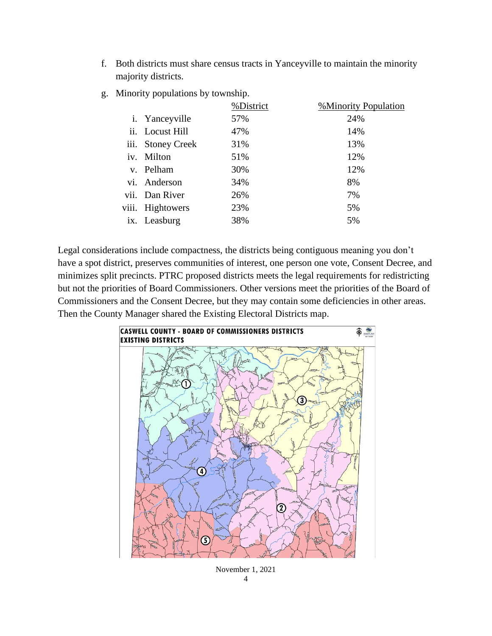f. Both districts must share census tracts in Yanceyville to maintain the minority majority districts.

|                            |                         | %District | <b>%Minority Population</b> |
|----------------------------|-------------------------|-----------|-----------------------------|
|                            | <i>i</i> . Yance yville | 57%       | 24%                         |
|                            | ii. Locust Hill         | 47%       | 14%                         |
| iii.                       | <b>Stoney Creek</b>     | 31%       | 13%                         |
| iv.                        | Milton                  | 51%       | 12%                         |
| $V_{\cdot}$                | Pelham                  | 30%       | 12%                         |
| $\overline{\mathbf{v}}$ i. | Anderson                | 34%       | 8%                          |
|                            | vii. Dan River          | 26%       | 7%                          |
| viii.                      | Hightowers              | 23%       | 5%                          |
| 1X.                        | Leasburg                | 38%       | 5%                          |
|                            |                         |           |                             |

g. Minority populations by township.

Legal considerations include compactness, the districts being contiguous meaning you don't have a spot district, preserves communities of interest, one person one vote, Consent Decree, and minimizes split precincts. PTRC proposed districts meets the legal requirements for redistricting but not the priorities of Board Commissioners. Other versions meet the priorities of the Board of Commissioners and the Consent Decree, but they may contain some deficiencies in other areas. Then the County Manager shared the Existing Electoral Districts map.



November 1, 2021 4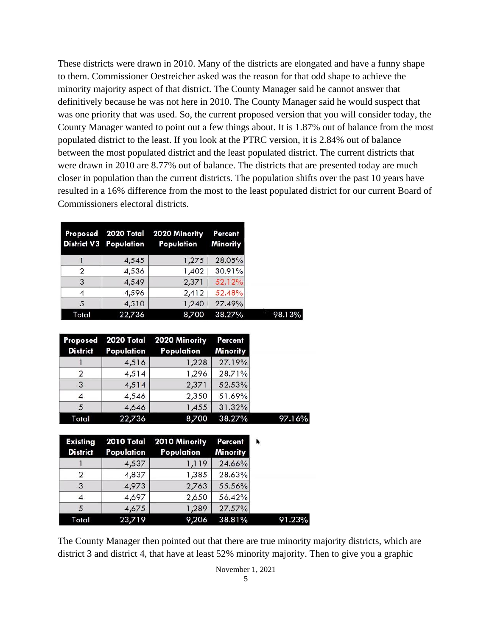These districts were drawn in 2010. Many of the districts are elongated and have a funny shape to them. Commissioner Oestreicher asked was the reason for that odd shape to achieve the minority majority aspect of that district. The County Manager said he cannot answer that definitively because he was not here in 2010. The County Manager said he would suspect that was one priority that was used. So, the current proposed version that you will consider today, the County Manager wanted to point out a few things about. It is 1.87% out of balance from the most populated district to the least. If you look at the PTRC version, it is 2.84% out of balance between the most populated district and the least populated district. The current districts that were drawn in 2010 are 8.77% out of balance. The districts that are presented today are much closer in population than the current districts. The population shifts over the past 10 years have resulted in a 16% difference from the most to the least populated district for our current Board of Commissioners electoral districts.

|       | <b>District V3 Population</b> | Proposed 2020 Total 2020 Minority<br>Population | Percent<br><b>Minority</b> |
|-------|-------------------------------|-------------------------------------------------|----------------------------|
|       | 4,545                         | 1,275                                           | 28.05%                     |
| 2     | 4,536                         | 1,402                                           | 30.91%                     |
| 3     | 4,549                         | 2,371                                           | 52.12%                     |
|       | 4,596                         | 2,412                                           | 52.48%                     |
| 5     | 4,510                         | 1,240                                           | 27.49%                     |
| Total | 22,736                        | 8,700                                           | 38.27%                     |

| <b>District</b> | Population | Proposed 2020 Total 2020 Minority<br>Population | Percent<br><b>Minority</b> |
|-----------------|------------|-------------------------------------------------|----------------------------|
|                 | 4,516      | 1,228                                           | 27.19%                     |
| 2               | 4,514      | 1,296                                           | 28.71%                     |
| 3               | 4,514      | 2,371                                           | 52.53%                     |
| 4               | 4,546      | 2,350                                           | 51.69%                     |
| 5               | 4,646      | 1,455                                           | 31.32%                     |
| Total           | 22,736     | 8,700                                           | 38.27%                     |

| <b>District</b> | Population | Existing 2010 Total 2010 Minority<br>Population | Percent<br><b>Minority</b> |        |
|-----------------|------------|-------------------------------------------------|----------------------------|--------|
|                 | 4,537      | 1,119                                           | 24.66%                     |        |
| 2               | 4,837      | 1,385                                           | 28.63%                     |        |
| 3               | 4,973      | 2,763                                           | 55.56%                     |        |
| 4               | 4,697      | 2,650                                           | 56.42%                     |        |
| 5               | 4,675      | 1,289                                           | 27.57%                     |        |
| Total           | 23,719     | 9,206                                           | 38.81%                     | 91.23% |

The County Manager then pointed out that there are true minority majority districts, which are district 3 and district 4, that have at least 52% minority majority. Then to give you a graphic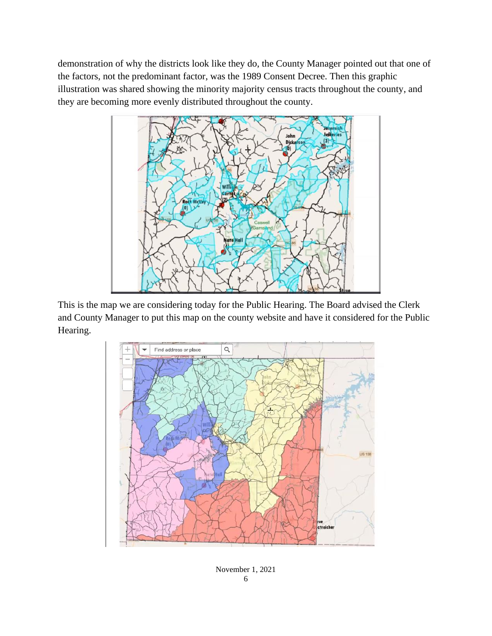demonstration of why the districts look like they do, the County Manager pointed out that one of the factors, not the predominant factor, was the 1989 Consent Decree. Then this graphic illustration was shared showing the minority majority census tracts throughout the county, and they are becoming more evenly distributed throughout the county.



This is the map we are considering today for the Public Hearing. The Board advised the Clerk and County Manager to put this map on the county website and have it considered for the Public Hearing.



November 1, 2021 6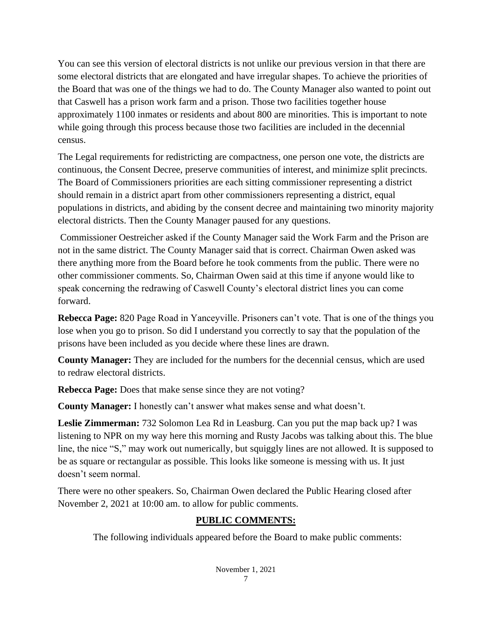You can see this version of electoral districts is not unlike our previous version in that there are some electoral districts that are elongated and have irregular shapes. To achieve the priorities of the Board that was one of the things we had to do. The County Manager also wanted to point out that Caswell has a prison work farm and a prison. Those two facilities together house approximately 1100 inmates or residents and about 800 are minorities. This is important to note while going through this process because those two facilities are included in the decennial census.

The Legal requirements for redistricting are compactness, one person one vote, the districts are continuous, the Consent Decree, preserve communities of interest, and minimize split precincts. The Board of Commissioners priorities are each sitting commissioner representing a district should remain in a district apart from other commissioners representing a district, equal populations in districts, and abiding by the consent decree and maintaining two minority majority electoral districts. Then the County Manager paused for any questions.

Commissioner Oestreicher asked if the County Manager said the Work Farm and the Prison are not in the same district. The County Manager said that is correct. Chairman Owen asked was there anything more from the Board before he took comments from the public. There were no other commissioner comments. So, Chairman Owen said at this time if anyone would like to speak concerning the redrawing of Caswell County's electoral district lines you can come forward.

**Rebecca Page:** 820 Page Road in Yanceyville. Prisoners can't vote. That is one of the things you lose when you go to prison. So did I understand you correctly to say that the population of the prisons have been included as you decide where these lines are drawn.

**County Manager:** They are included for the numbers for the decennial census, which are used to redraw electoral districts.

**Rebecca Page:** Does that make sense since they are not voting?

**County Manager:** I honestly can't answer what makes sense and what doesn't.

**Leslie Zimmerman:** 732 Solomon Lea Rd in Leasburg. Can you put the map back up? I was listening to NPR on my way here this morning and Rusty Jacobs was talking about this. The blue line, the nice "S," may work out numerically, but squiggly lines are not allowed. It is supposed to be as square or rectangular as possible. This looks like someone is messing with us. It just doesn't seem normal.

There were no other speakers. So, Chairman Owen declared the Public Hearing closed after November 2, 2021 at 10:00 am. to allow for public comments.

### **PUBLIC COMMENTS:**

The following individuals appeared before the Board to make public comments: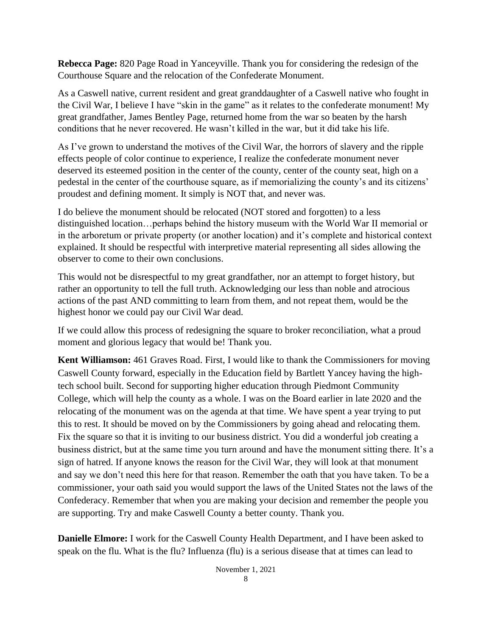**Rebecca Page:** 820 Page Road in Yanceyville. Thank you for considering the redesign of the Courthouse Square and the relocation of the Confederate Monument.

As a Caswell native, current resident and great granddaughter of a Caswell native who fought in the Civil War, I believe I have "skin in the game" as it relates to the confederate monument! My great grandfather, James Bentley Page, returned home from the war so beaten by the harsh conditions that he never recovered. He wasn't killed in the war, but it did take his life.

As I've grown to understand the motives of the Civil War, the horrors of slavery and the ripple effects people of color continue to experience, I realize the confederate monument never deserved its esteemed position in the center of the county, center of the county seat, high on a pedestal in the center of the courthouse square, as if memorializing the county's and its citizens' proudest and defining moment. It simply is NOT that, and never was.

I do believe the monument should be relocated (NOT stored and forgotten) to a less distinguished location…perhaps behind the history museum with the World War II memorial or in the arboretum or private property (or another location) and it's complete and historical context explained. It should be respectful with interpretive material representing all sides allowing the observer to come to their own conclusions.

This would not be disrespectful to my great grandfather, nor an attempt to forget history, but rather an opportunity to tell the full truth. Acknowledging our less than noble and atrocious actions of the past AND committing to learn from them, and not repeat them, would be the highest honor we could pay our Civil War dead.

If we could allow this process of redesigning the square to broker reconciliation, what a proud moment and glorious legacy that would be! Thank you.

**Kent Williamson:** 461 Graves Road. First, I would like to thank the Commissioners for moving Caswell County forward, especially in the Education field by Bartlett Yancey having the hightech school built. Second for supporting higher education through Piedmont Community College, which will help the county as a whole. I was on the Board earlier in late 2020 and the relocating of the monument was on the agenda at that time. We have spent a year trying to put this to rest. It should be moved on by the Commissioners by going ahead and relocating them. Fix the square so that it is inviting to our business district. You did a wonderful job creating a business district, but at the same time you turn around and have the monument sitting there. It's a sign of hatred. If anyone knows the reason for the Civil War, they will look at that monument and say we don't need this here for that reason. Remember the oath that you have taken. To be a commissioner, your oath said you would support the laws of the United States not the laws of the Confederacy. Remember that when you are making your decision and remember the people you are supporting. Try and make Caswell County a better county. Thank you.

**Danielle Elmore:** I work for the Caswell County Health Department, and I have been asked to speak on the flu. What is the flu? Influenza (flu) is a serious disease that at times can lead to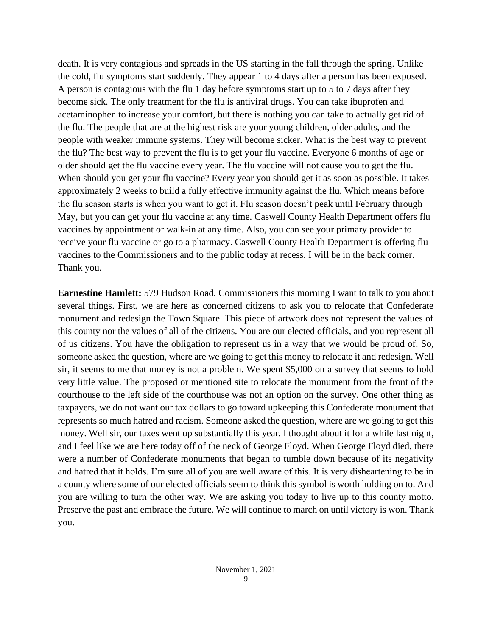death. It is very contagious and spreads in the US starting in the fall through the spring. Unlike the cold, flu symptoms start suddenly. They appear 1 to 4 days after a person has been exposed. A person is contagious with the flu 1 day before symptoms start up to 5 to 7 days after they become sick. The only treatment for the flu is antiviral drugs. You can take ibuprofen and acetaminophen to increase your comfort, but there is nothing you can take to actually get rid of the flu. The people that are at the highest risk are your young children, older adults, and the people with weaker immune systems. They will become sicker. What is the best way to prevent the flu? The best way to prevent the flu is to get your flu vaccine. Everyone 6 months of age or older should get the flu vaccine every year. The flu vaccine will not cause you to get the flu. When should you get your flu vaccine? Every year you should get it as soon as possible. It takes approximately 2 weeks to build a fully effective immunity against the flu. Which means before the flu season starts is when you want to get it. Flu season doesn't peak until February through May, but you can get your flu vaccine at any time. Caswell County Health Department offers flu vaccines by appointment or walk-in at any time. Also, you can see your primary provider to receive your flu vaccine or go to a pharmacy. Caswell County Health Department is offering flu vaccines to the Commissioners and to the public today at recess. I will be in the back corner. Thank you.

**Earnestine Hamlett:** 579 Hudson Road. Commissioners this morning I want to talk to you about several things. First, we are here as concerned citizens to ask you to relocate that Confederate monument and redesign the Town Square. This piece of artwork does not represent the values of this county nor the values of all of the citizens. You are our elected officials, and you represent all of us citizens. You have the obligation to represent us in a way that we would be proud of. So, someone asked the question, where are we going to get this money to relocate it and redesign. Well sir, it seems to me that money is not a problem. We spent \$5,000 on a survey that seems to hold very little value. The proposed or mentioned site to relocate the monument from the front of the courthouse to the left side of the courthouse was not an option on the survey. One other thing as taxpayers, we do not want our tax dollars to go toward upkeeping this Confederate monument that represents so much hatred and racism. Someone asked the question, where are we going to get this money. Well sir, our taxes went up substantially this year. I thought about it for a while last night, and I feel like we are here today off of the neck of George Floyd. When George Floyd died, there were a number of Confederate monuments that began to tumble down because of its negativity and hatred that it holds. I'm sure all of you are well aware of this. It is very disheartening to be in a county where some of our elected officials seem to think this symbol is worth holding on to. And you are willing to turn the other way. We are asking you today to live up to this county motto. Preserve the past and embrace the future. We will continue to march on until victory is won. Thank you.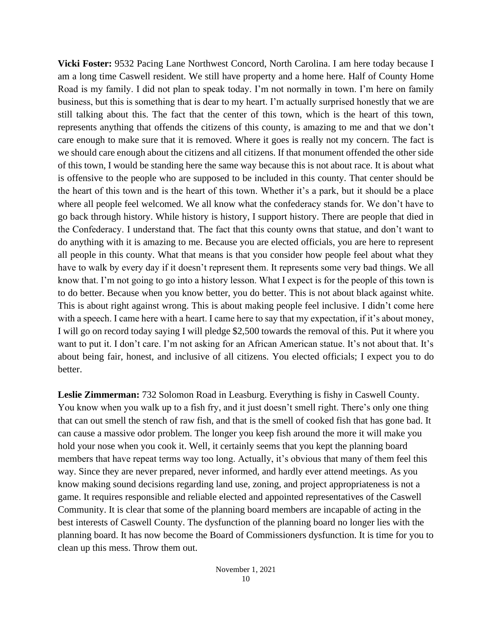**Vicki Foster:** 9532 Pacing Lane Northwest Concord, North Carolina. I am here today because I am a long time Caswell resident. We still have property and a home here. Half of County Home Road is my family. I did not plan to speak today. I'm not normally in town. I'm here on family business, but this is something that is dear to my heart. I'm actually surprised honestly that we are still talking about this. The fact that the center of this town, which is the heart of this town, represents anything that offends the citizens of this county, is amazing to me and that we don't care enough to make sure that it is removed. Where it goes is really not my concern. The fact is we should care enough about the citizens and all citizens. If that monument offended the other side of this town, I would be standing here the same way because this is not about race. It is about what is offensive to the people who are supposed to be included in this county. That center should be the heart of this town and is the heart of this town. Whether it's a park, but it should be a place where all people feel welcomed. We all know what the confederacy stands for. We don't have to go back through history. While history is history, I support history. There are people that died in the Confederacy. I understand that. The fact that this county owns that statue, and don't want to do anything with it is amazing to me. Because you are elected officials, you are here to represent all people in this county. What that means is that you consider how people feel about what they have to walk by every day if it doesn't represent them. It represents some very bad things. We all know that. I'm not going to go into a history lesson. What I expect is for the people of this town is to do better. Because when you know better, you do better. This is not about black against white. This is about right against wrong. This is about making people feel inclusive. I didn't come here with a speech. I came here with a heart. I came here to say that my expectation, if it's about money, I will go on record today saying I will pledge \$2,500 towards the removal of this. Put it where you want to put it. I don't care. I'm not asking for an African American statue. It's not about that. It's about being fair, honest, and inclusive of all citizens. You elected officials; I expect you to do better.

**Leslie Zimmerman:** 732 Solomon Road in Leasburg. Everything is fishy in Caswell County. You know when you walk up to a fish fry, and it just doesn't smell right. There's only one thing that can out smell the stench of raw fish, and that is the smell of cooked fish that has gone bad. It can cause a massive odor problem. The longer you keep fish around the more it will make you hold your nose when you cook it. Well, it certainly seems that you kept the planning board members that have repeat terms way too long. Actually, it's obvious that many of them feel this way. Since they are never prepared, never informed, and hardly ever attend meetings. As you know making sound decisions regarding land use, zoning, and project appropriateness is not a game. It requires responsible and reliable elected and appointed representatives of the Caswell Community. It is clear that some of the planning board members are incapable of acting in the best interests of Caswell County. The dysfunction of the planning board no longer lies with the planning board. It has now become the Board of Commissioners dysfunction. It is time for you to clean up this mess. Throw them out.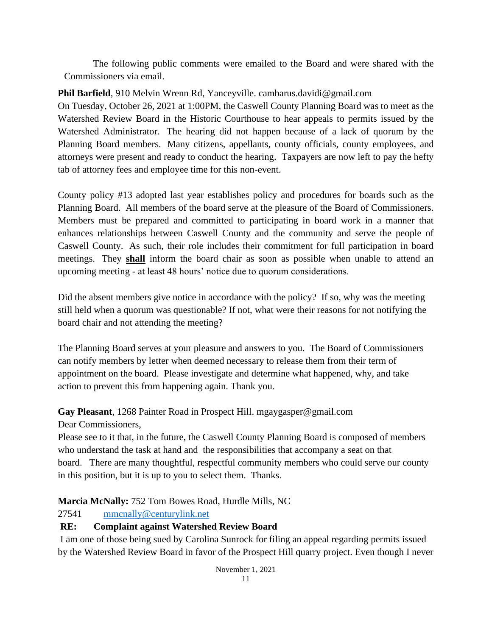The following public comments were emailed to the Board and were shared with the Commissioners via email.

#### **Phil Barfield**, 910 Melvin Wrenn Rd, Yanceyville. cambarus.davidi@gmail.com

On Tuesday, October 26, 2021 at 1:00PM, the Caswell County Planning Board was to meet as the Watershed Review Board in the Historic Courthouse to hear appeals to permits issued by the Watershed Administrator. The hearing did not happen because of a lack of quorum by the Planning Board members. Many citizens, appellants, county officials, county employees, and attorneys were present and ready to conduct the hearing. Taxpayers are now left to pay the hefty tab of attorney fees and employee time for this non-event.

County policy #13 adopted last year establishes policy and procedures for boards such as the Planning Board. All members of the board serve at the pleasure of the Board of Commissioners. Members must be prepared and committed to participating in board work in a manner that enhances relationships between Caswell County and the community and serve the people of Caswell County. As such, their role includes their commitment for full participation in board meetings. They **shall** inform the board chair as soon as possible when unable to attend an upcoming meeting - at least 48 hours' notice due to quorum considerations.

Did the absent members give notice in accordance with the policy? If so, why was the meeting still held when a quorum was questionable? If not, what were their reasons for not notifying the board chair and not attending the meeting?

The Planning Board serves at your pleasure and answers to you. The Board of Commissioners can notify members by letter when deemed necessary to release them from their term of appointment on the board. Please investigate and determine what happened, why, and take action to prevent this from happening again. Thank you.

#### **Gay Pleasant**, 1268 Painter Road in Prospect Hill. mgaygasper@gmail.com

Dear Commissioners,

Please see to it that, in the future, the Caswell County Planning Board is composed of members who understand the task at hand and the responsibilities that accompany a seat on that board. There are many thoughtful, respectful community members who could serve our county in this position, but it is up to you to select them. Thanks.

**Marcia McNally:** 752 Tom Bowes Road, Hurdle Mills, NC

27541 [mmcnally@centurylink.net](mailto:mmcnally@centurylink.net)

### **RE: Complaint against Watershed Review Board**

I am one of those being sued by Carolina Sunrock for filing an appeal regarding permits issued by the Watershed Review Board in favor of the Prospect Hill quarry project. Even though I never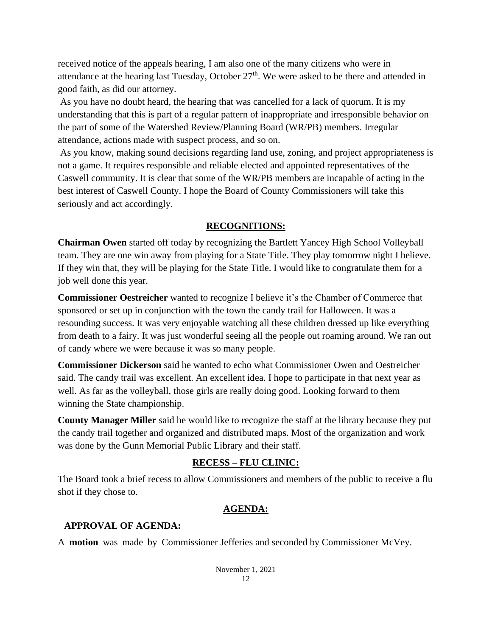received notice of the appeals hearing, I am also one of the many citizens who were in attendance at the hearing last Tuesday, October  $27<sup>th</sup>$ . We were asked to be there and attended in good faith, as did our attorney.

As you have no doubt heard, the hearing that was cancelled for a lack of quorum. It is my understanding that this is part of a regular pattern of inappropriate and irresponsible behavior on the part of some of the Watershed Review/Planning Board (WR/PB) members. Irregular attendance, actions made with suspect process, and so on.

As you know, making sound decisions regarding land use, zoning, and project appropriateness is not a game. It requires responsible and reliable elected and appointed representatives of the Caswell community. It is clear that some of the WR/PB members are incapable of acting in the best interest of Caswell County. I hope the Board of County Commissioners will take this seriously and act accordingly.

#### **RECOGNITIONS:**

**Chairman Owen** started off today by recognizing the Bartlett Yancey High School Volleyball team. They are one win away from playing for a State Title. They play tomorrow night I believe. If they win that, they will be playing for the State Title. I would like to congratulate them for a job well done this year.

**Commissioner Oestreicher** wanted to recognize I believe it's the Chamber of Commerce that sponsored or set up in conjunction with the town the candy trail for Halloween. It was a resounding success. It was very enjoyable watching all these children dressed up like everything from death to a fairy. It was just wonderful seeing all the people out roaming around. We ran out of candy where we were because it was so many people.

**Commissioner Dickerson** said he wanted to echo what Commissioner Owen and Oestreicher said. The candy trail was excellent. An excellent idea. I hope to participate in that next year as well. As far as the volleyball, those girls are really doing good. Looking forward to them winning the State championship.

**County Manager Miller** said he would like to recognize the staff at the library because they put the candy trail together and organized and distributed maps. Most of the organization and work was done by the Gunn Memorial Public Library and their staff.

#### **RECESS – FLU CLINIC:**

The Board took a brief recess to allow Commissioners and members of the public to receive a flu shot if they chose to.

#### **AGENDA:**

#### **APPROVAL OF AGENDA:**

A **motion** was made by Commissioner Jefferies and seconded by Commissioner McVey.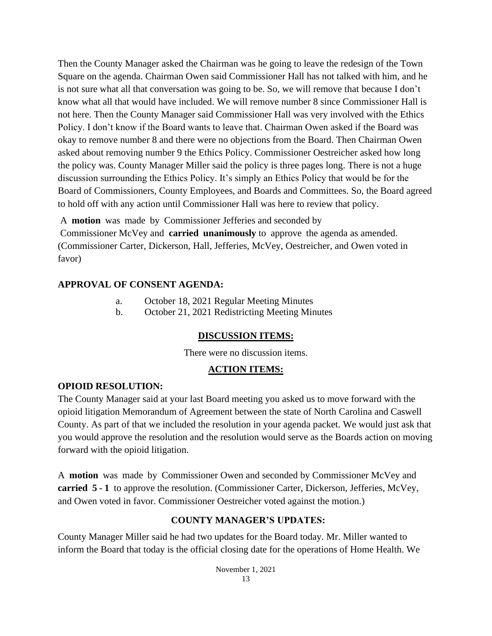Then the County Manager asked the Chairman was he going to leave the redesign of the Town Square on the agenda. Chairman Owen said Commissioner Hall has not talked with him, and he is not sure what all that conversation was going to be. So, we will remove that because I don't know what all that would have included. We will remove number 8 since Commissioner Hall is not here. Then the County Manager said Commissioner Hall was very involved with the Ethics Policy. I don't know if the Board wants to leave that. Chairman Owen asked if the Board was okay to remove number 8 and there were no objections from the Board. Then Chairman Owen asked about removing number 9 the Ethics Policy. Commissioner Oestreicher asked how long the policy was. County Manager Miller said the policy is three pages long. There is not a huge discussion surrounding the Ethics Policy. It's simply an Ethics Policy that would be for the Board of Commissioners, County Employees, and Boards and Committees. So, the Board agreed to hold off with any action until Commissioner Hall was here to review that policy.

A **motion** was made by Commissioner Jefferies and seconded by

Commissioner McVey and **carried unanimously** to approve the agenda as amended. (Commissioner Carter, Dickerson, Hall, Jefferies, McVey, Oestreicher, and Owen voted in favor)

#### **APPROVAL OF CONSENT AGENDA:**

- a. October 18, 2021 Regular Meeting Minutes
- b. October 21, 2021 Redistricting Meeting Minutes

#### **DISCUSSION ITEMS:**

There were no discussion items.

#### **ACTION ITEMS:**

#### **OPIOID RESOLUTION:**

The County Manager said at your last Board meeting you asked us to move forward with the opioid litigation Memorandum of Agreement between the state of North Carolina and Caswell County. As part of that we included the resolution in your agenda packet. We would just ask that you would approve the resolution and the resolution would serve as the Boards action on moving forward with the opioid litigation.

A **motion** was made by Commissioner Owen and seconded by Commissioner McVey and **carried 5 - 1** to approve the resolution. (Commissioner Carter, Dickerson, Jefferies, McVey, and Owen voted in favor. Commissioner Oestreicher voted against the motion.)

#### **COUNTY MANAGER'S UPDATES:**

County Manager Miller said he had two updates for the Board today. Mr. Miller wanted to inform the Board that today is the official closing date for the operations of Home Health. We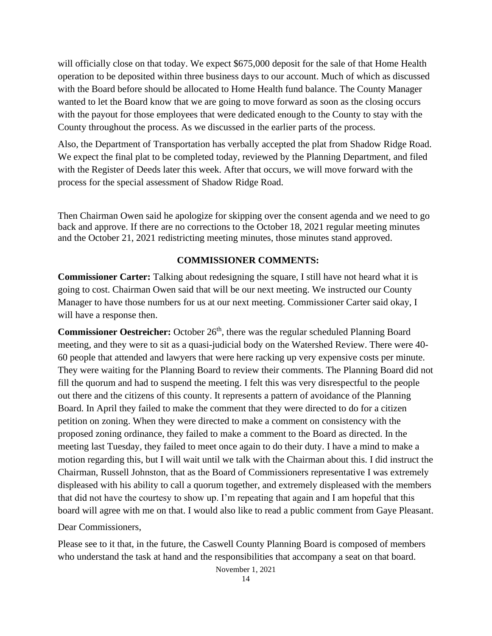will officially close on that today. We expect \$675,000 deposit for the sale of that Home Health operation to be deposited within three business days to our account. Much of which as discussed with the Board before should be allocated to Home Health fund balance. The County Manager wanted to let the Board know that we are going to move forward as soon as the closing occurs with the payout for those employees that were dedicated enough to the County to stay with the County throughout the process. As we discussed in the earlier parts of the process.

Also, the Department of Transportation has verbally accepted the plat from Shadow Ridge Road. We expect the final plat to be completed today, reviewed by the Planning Department, and filed with the Register of Deeds later this week. After that occurs, we will move forward with the process for the special assessment of Shadow Ridge Road.

Then Chairman Owen said he apologize for skipping over the consent agenda and we need to go back and approve. If there are no corrections to the October 18, 2021 regular meeting minutes and the October 21, 2021 redistricting meeting minutes, those minutes stand approved.

#### **COMMISSIONER COMMENTS:**

**Commissioner Carter:** Talking about redesigning the square, I still have not heard what it is going to cost. Chairman Owen said that will be our next meeting. We instructed our County Manager to have those numbers for us at our next meeting. Commissioner Carter said okay, I will have a response then.

Commissioner Oestreicher: October 26<sup>th</sup>, there was the regular scheduled Planning Board meeting, and they were to sit as a quasi-judicial body on the Watershed Review. There were 40- 60 people that attended and lawyers that were here racking up very expensive costs per minute. They were waiting for the Planning Board to review their comments. The Planning Board did not fill the quorum and had to suspend the meeting. I felt this was very disrespectful to the people out there and the citizens of this county. It represents a pattern of avoidance of the Planning Board. In April they failed to make the comment that they were directed to do for a citizen petition on zoning. When they were directed to make a comment on consistency with the proposed zoning ordinance, they failed to make a comment to the Board as directed. In the meeting last Tuesday, they failed to meet once again to do their duty. I have a mind to make a motion regarding this, but I will wait until we talk with the Chairman about this. I did instruct the Chairman, Russell Johnston, that as the Board of Commissioners representative I was extremely displeased with his ability to call a quorum together, and extremely displeased with the members that did not have the courtesy to show up. I'm repeating that again and I am hopeful that this board will agree with me on that. I would also like to read a public comment from Gaye Pleasant.

Dear Commissioners,

Please see to it that, in the future, the Caswell County Planning Board is composed of members who understand the task at hand and the responsibilities that accompany a seat on that board.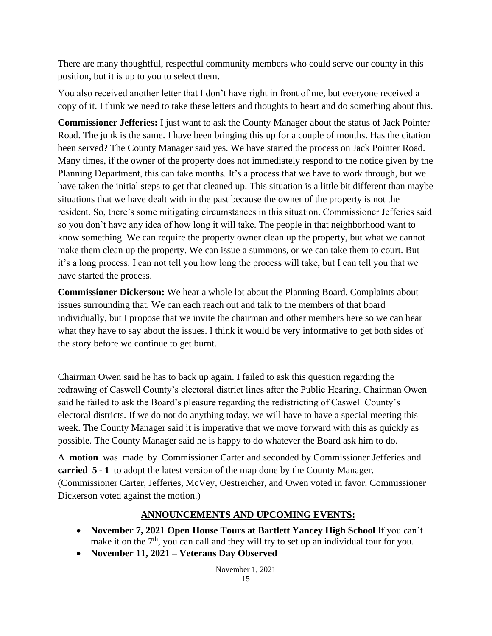There are many thoughtful, respectful community members who could serve our county in this position, but it is up to you to select them.

You also received another letter that I don't have right in front of me, but everyone received a copy of it. I think we need to take these letters and thoughts to heart and do something about this.

**Commissioner Jefferies:** I just want to ask the County Manager about the status of Jack Pointer Road. The junk is the same. I have been bringing this up for a couple of months. Has the citation been served? The County Manager said yes. We have started the process on Jack Pointer Road. Many times, if the owner of the property does not immediately respond to the notice given by the Planning Department, this can take months. It's a process that we have to work through, but we have taken the initial steps to get that cleaned up. This situation is a little bit different than maybe situations that we have dealt with in the past because the owner of the property is not the resident. So, there's some mitigating circumstances in this situation. Commissioner Jefferies said so you don't have any idea of how long it will take. The people in that neighborhood want to know something. We can require the property owner clean up the property, but what we cannot make them clean up the property. We can issue a summons, or we can take them to court. But it's a long process. I can not tell you how long the process will take, but I can tell you that we have started the process.

**Commissioner Dickerson:** We hear a whole lot about the Planning Board. Complaints about issues surrounding that. We can each reach out and talk to the members of that board individually, but I propose that we invite the chairman and other members here so we can hear what they have to say about the issues. I think it would be very informative to get both sides of the story before we continue to get burnt.

Chairman Owen said he has to back up again. I failed to ask this question regarding the redrawing of Caswell County's electoral district lines after the Public Hearing. Chairman Owen said he failed to ask the Board's pleasure regarding the redistricting of Caswell County's electoral districts. If we do not do anything today, we will have to have a special meeting this week. The County Manager said it is imperative that we move forward with this as quickly as possible. The County Manager said he is happy to do whatever the Board ask him to do.

A **motion** was made by Commissioner Carter and seconded by Commissioner Jefferies and **carried 5 - 1** to adopt the latest version of the map done by the County Manager. (Commissioner Carter, Jefferies, McVey, Oestreicher, and Owen voted in favor. Commissioner Dickerson voted against the motion.)

#### **ANNOUNCEMENTS AND UPCOMING EVENTS:**

- **November 7, 2021 Open House Tours at Bartlett Yancey High School** If you can't make it on the  $7<sup>th</sup>$ , you can call and they will try to set up an individual tour for you.
- **November 11, 2021 – Veterans Day Observed**